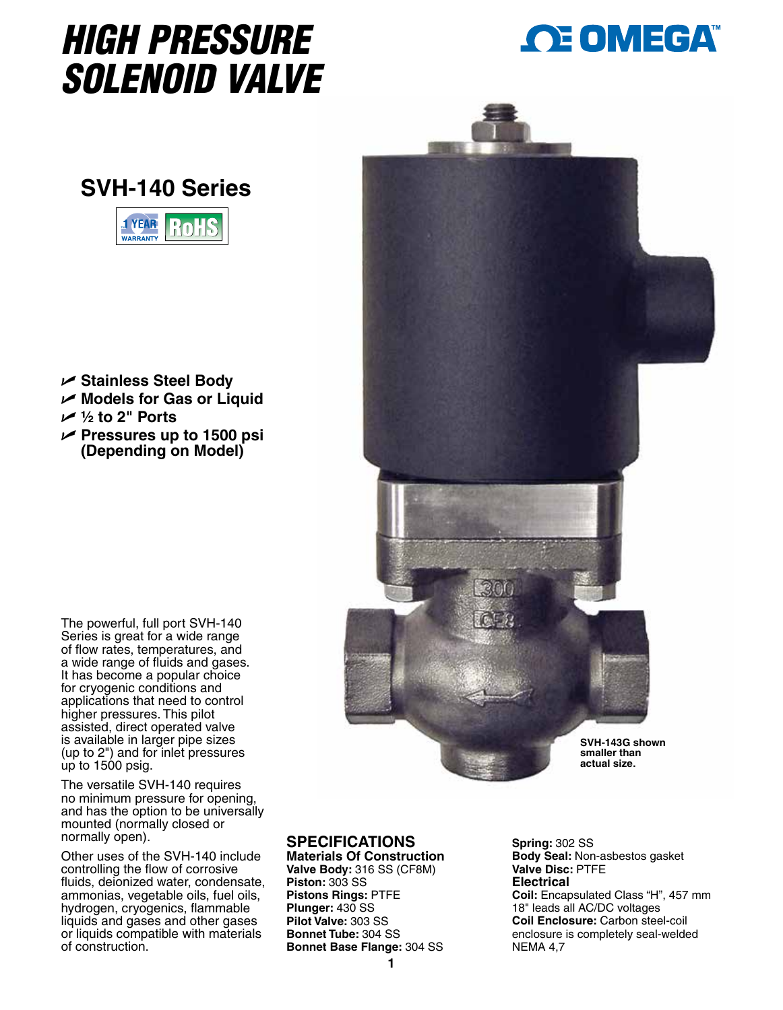## *HIGH PRESSURE SOLENOID VALVE*



## **SVH-140 Series**



- U **Stainless Steel Body**
- U **Models for Gas or Liquid**
- U **½ to 2" Ports**
- U **Pressures up to 1500 psi (Depending on Model)**



The versatile SVH-140 requires no minimum pressure for opening, and has the option to be universally mounted (normally closed or normally open).

Other uses of the SVH-140 include controlling the flow of corrosive fluids, deionized water, condensate, ammonias, vegetable oils, fuel oils, hydrogen, cryogenics, flammable liquids and gases and other gases or liquids compatible with materials of construction.



## **SPECIFICATIONS**

**Materials Of Construction Valve Body:** 316 SS (CF8M) **Piston:** 303 SS **Pistons Rings:** PTFE **Plunger:** 430 SS **Pilot Valve:** 303 SS **Bonnet Tube:** 304 SS **Bonnet Base Flange:** 304 SS

**Spring:** 302 SS **Body Seal:** Non-asbestos gasket **Valve Disc:** PTFE **Electrical Coil:** Encapsulated Class "H", 457 mm 18" leads all AC/DC voltages **Coil Enclosure:** Carbon steel-coil enclosure is completely seal-welded NEMA 4,7